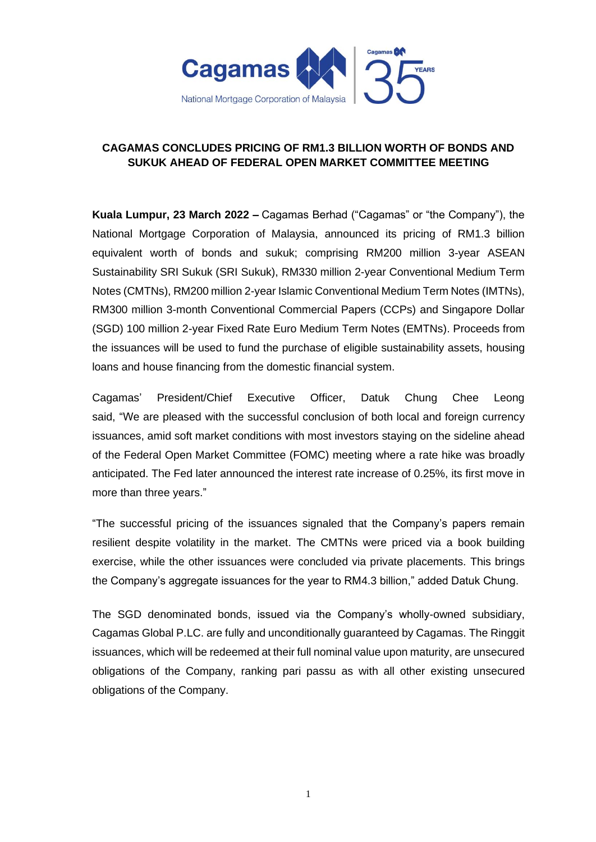

## **CAGAMAS CONCLUDES PRICING OF RM1.3 BILLION WORTH OF BONDS AND SUKUK AHEAD OF FEDERAL OPEN MARKET COMMITTEE MEETING**

**Kuala Lumpur, 23 March 2022 –** Cagamas Berhad ("Cagamas" or "the Company"), the National Mortgage Corporation of Malaysia, announced its pricing of RM1.3 billion equivalent worth of bonds and sukuk; comprising RM200 million 3-year ASEAN Sustainability SRI Sukuk (SRI Sukuk), RM330 million 2-year Conventional Medium Term Notes (CMTNs), RM200 million 2-year Islamic Conventional Medium Term Notes (IMTNs), RM300 million 3-month Conventional Commercial Papers (CCPs) and Singapore Dollar (SGD) 100 million 2-year Fixed Rate Euro Medium Term Notes (EMTNs). Proceeds from the issuances will be used to fund the purchase of eligible sustainability assets, housing loans and house financing from the domestic financial system.

Cagamas' President/Chief Executive Officer, Datuk Chung Chee Leong said, "We are pleased with the successful conclusion of both local and foreign currency issuances, amid soft market conditions with most investors staying on the sideline ahead of the Federal Open Market Committee (FOMC) meeting where a rate hike was broadly anticipated. The Fed later announced the interest rate increase of 0.25%, its first move in more than three years."

"The successful pricing of the issuances signaled that the Company's papers remain resilient despite volatility in the market. The CMTNs were priced via a book building exercise, while the other issuances were concluded via private placements. This brings the Company's aggregate issuances for the year to RM4.3 billion," added Datuk Chung.

The SGD denominated bonds, issued via the Company's wholly-owned subsidiary, Cagamas Global P.LC. are fully and unconditionally guaranteed by Cagamas. The Ringgit issuances, which will be redeemed at their full nominal value upon maturity, are unsecured obligations of the Company, ranking pari passu as with all other existing unsecured obligations of the Company.